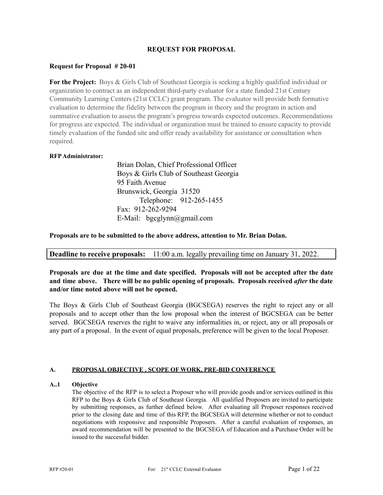### **REQUEST FOR PROPOSAL**

### **Request for Proposal # 20-01**

**For the Project:** Boys & Girls Club of Southeast Georgia is seeking a highly qualified individual or organization to contract as an independent third-party evaluator for a state funded 21st Century Community Learning Centers (21st CCLC) grant program. The evaluator will provide both formative evaluation to determine the fidelity between the program in theory and the program in action and summative evaluation to assess the program's progress towards expected outcomes. Recommendations for progress are expected. The individual or organization must be trained to ensure capacity to provide timely evaluation of the funded site and offer ready availability for assistance or consultation when required.

#### **RFPAdministrator:**

Brian Dolan, Chief Professional Officer Boys & Girls Club of Southeast Georgia 95 Faith Avenue Brunswick, Georgia 31520 Telephone: 912-265-1455 Fax: 912-262-9294 E-Mail: bgcglynn@gmail.com

**Proposals are to be submitted to the above address, attention to Mr. Brian Dolan.**

## **Deadline to receive proposals:** 11:00 a.m. legally prevailing time on January 31, 2022.

**Proposals are due at the time and date specified. Proposals will not be accepted after the date and time above. There will be no public opening of proposals. Proposals received** *after* **the date and/or time noted above will not be opened.**

The Boys & Girls Club of Southeast Georgia (BGCSEGA) reserves the right to reject any or all proposals and to accept other than the low proposal when the interest of BGCSEGA can be better served. BGCSEGA reserves the right to waive any informalities in, or reject, any or all proposals or any part of a proposal. In the event of equal proposals, preference will be given to the local Proposer.

#### **A. PROPOSAL OBJECTIVE , SCOPE OF WORK, PRE-BID CONFERENCE**

#### **A..1 Objective**

The objective of the RFP is to select a Proposer who will provide goods and/or services outlined in this RFP to the Boys & Girls Club of Southeast Georgia. All qualified Proposers are invited to participate by submitting responses, as further defined below. After evaluating all Proposer responses received prior to the closing date and time of this RFP, the BGCSEGA will determine whether or not to conduct negotiations with responsive and responsible Proposers. After a careful evaluation of responses, an award recommendation will be presented to the BGCSEGA of Education and a Purchase Order will be issued to the successful bidder.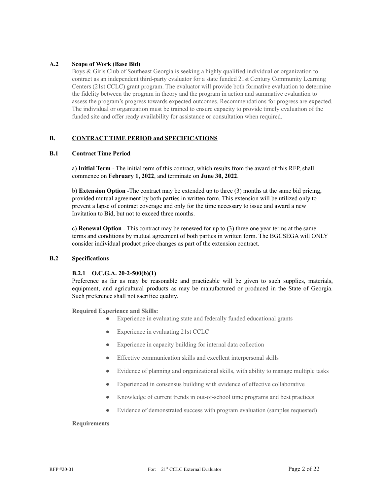### **A.2 Scope of Work (Base Bid)**

Boys & Girls Club of Southeast Georgia is seeking a highly qualified individual or organization to contract as an independent third-party evaluator for a state funded 21st Century Community Learning Centers (21st CCLC) grant program. The evaluator will provide both formative evaluation to determine the fidelity between the program in theory and the program in action and summative evaluation to assess the program's progress towards expected outcomes. Recommendations for progress are expected. The individual or organization must be trained to ensure capacity to provide timely evaluation of the funded site and offer ready availability for assistance or consultation when required.

#### **B. CONTRACT TIME PERIOD and SPECIFICATIONS**

#### **B.1 Contract Time Period**

a) **Initial Term** - The initial term of this contract, which results from the award of this RFP, shall commence on **February 1, 2022**, and terminate on **June 30, 2022**.

b) **Extension Option** -The contract may be extended up to three (3) months at the same bid pricing, provided mutual agreement by both parties in written form. This extension will be utilized only to prevent a lapse of contract coverage and only for the time necessary to issue and award a new Invitation to Bid, but not to exceed three months.

c) **Renewal Option** - This contract may be renewed for up to (3) three one year terms at the same terms and conditions by mutual agreement of both parties in written form. The BGCSEGA will ONLY consider individual product price changes as part of the extension contract.

#### **B.2 Specifications**

#### **B.2.1 O.C.G.A. 20-2-500(b)(1)**

Preference as far as may be reasonable and practicable will be given to such supplies, materials, equipment, and agricultural products as may be manufactured or produced in the State of Georgia. Such preference shall not sacrifice quality.

**Required Experience and Skills:**

- Experience in evaluating state and federally funded educational grants
- Experience in evaluating 21st CCLC
- Experience in capacity building for internal data collection
- Effective communication skills and excellent interpersonal skills
- Evidence of planning and organizational skills, with ability to manage multiple tasks
- Experienced in consensus building with evidence of effective collaborative
- Knowledge of current trends in out-of-school time programs and best practices
- Evidence of demonstrated success with program evaluation (samples requested)

#### **Requirements**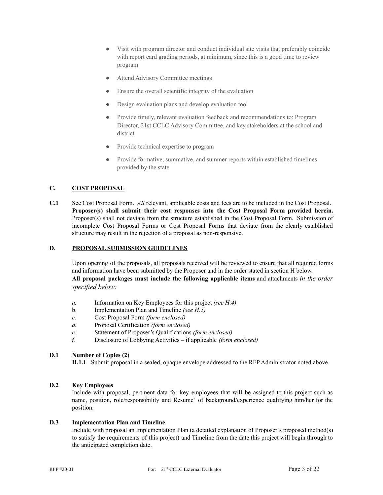- Visit with program director and conduct individual site visits that preferably coincide with report card grading periods, at minimum, since this is a good time to review program
- Attend Advisory Committee meetings
- Ensure the overall scientific integrity of the evaluation
- Design evaluation plans and develop evaluation tool
- Provide timely, relevant evaluation feedback and recommendations to: Program Director, 21st CCLC Advisory Committee, and key stakeholders at the school and district
- Provide technical expertise to program
- Provide formative, summative, and summer reports within established timelines provided by the state

### **C. COST PROPOSAL**

**C.1** See Cost Proposal Form. *All* relevant, applicable costs and fees are to be included in the Cost Proposal. **Proposer(s) shall submit their cost responses into the Cost Proposal Form provided herein.** Proposer(s) shall not deviate from the structure established in the Cost Proposal Form. Submission of incomplete Cost Proposal Forms or Cost Proposal Forms that deviate from the clearly established structure may result in the rejection of a proposal as non-responsive.

#### **D. PROPOSAL SUBMISSION GUIDELINES**

Upon opening of the proposals, all proposals received will be reviewed to ensure that all required forms and information have been submitted by the Proposer and in the order stated in section H below. **All proposal packages must include the following applicable items** and attachments *in the order specified below:*

- *a.* Information on Key Employees for this project *(see H.4)*
- b. Implementation Plan and Timeline *(see H.5)*
- *c.* Cost Proposal Form *(form enclosed)*
- *d.* Proposal Certification *(form enclosed)*
- *e.* Statement of Proposer's Qualifications *(form enclosed)*
- *f.* Disclosure of Lobbying Activities if applicable *(form enclosed)*

### **D.1 Number of Copies (2)**

**H.1.1** Submit proposal in a sealed, opaque envelope addressed to the RFP Administrator noted above.

### **D.2 Key Employees**

Include with proposal, pertinent data for key employees that will be assigned to this project such as name, position, role/responsibility and Resume' of background/experience qualifying him/her for the position.

#### **D.3 Implementation Plan and Timeline**

Include with proposal an Implementation Plan (a detailed explanation of Proposer's proposed method(s) to satisfy the requirements of this project) and Timeline from the date this project will begin through to the anticipated completion date.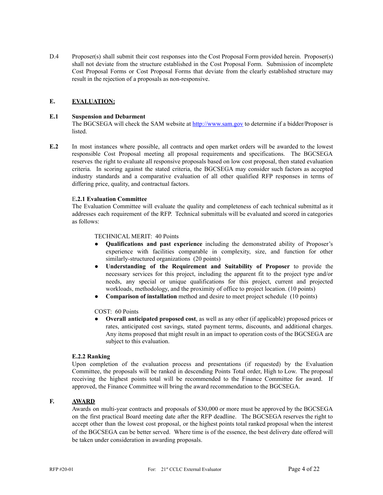D.4 Proposer(s) shall submit their cost responses into the Cost Proposal Form provided herein. Proposer(s) shall not deviate from the structure established in the Cost Proposal Form. Submission of incomplete Cost Proposal Forms or Cost Proposal Forms that deviate from the clearly established structure may result in the rejection of a proposals as non-responsive.

#### **E. EVALUATION:**

#### **E.1 Suspension and Debarment**

The BGCSEGA will check the SAM website at <http://www.sam.gov> to determine if a bidder/Proposer is listed.

**E.2** In most instances where possible, all contracts and open market orders will be awarded to the lowest responsible Cost Proposal meeting all proposal requirements and specifications. The BGCSEGA reserves the right to evaluate all responsive proposals based on low cost proposal, then stated evaluation criteria. In scoring against the stated criteria, the BGCSEGA may consider such factors as accepted industry standards and a comparative evaluation of all other qualified RFP responses in terms of differing price, quality, and contractual factors.

#### E**.2.1 Evaluation Committee**

The Evaluation Committee will evaluate the quality and completeness of each technical submittal as it addresses each requirement of the RFP. Technical submittals will be evaluated and scored in categories as follows:

#### TECHNICAL MERIT: 40 Points

- **Qualifications and past experience** including the demonstrated ability of Proposer's experience with facilities comparable in complexity, size, and function for other similarly-structured organizations (20 points)
- **Understanding of the Requirement and Suitability of Proposer** to provide the necessary services for this project, including the apparent fit to the project type and/or needs, any special or unique qualifications for this project, current and projected workloads, methodology, and the proximity of office to project location. (10 points)
- **Comparison of installation** method and desire to meet project schedule (10 points)

#### COST: 60 Points

● **Overall anticipated proposed cost**, as well as any other (if applicable) proposed prices or rates, anticipated cost savings, stated payment terms, discounts, and additional charges. Any items proposed that might result in an impact to operation costs of the BGCSEGA are subject to this evaluation.

#### **E.2.2 Ranking**

Upon completion of the evaluation process and presentations (if requested) by the Evaluation Committee, the proposals will be ranked in descending Points Total order, High to Low. The proposal receiving the highest points total will be recommended to the Finance Committee for award. If approved, the Finance Committee will bring the award recommendation to the BGCSEGA.

### **F. AWARD**

Awards on multi-year contracts and proposals of \$30,000 or more must be approved by the BGCSEGA on the first practical Board meeting date after the RFP deadline. The BGCSEGA reserves the right to accept other than the lowest cost proposal, or the highest points total ranked proposal when the interest of the BGCSEGA can be better served. Where time is of the essence, the best delivery date offered will be taken under consideration in awarding proposals.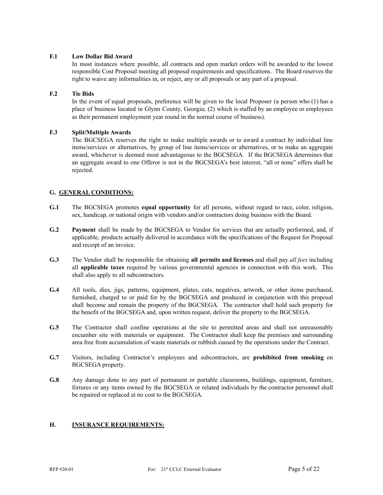#### **F.1 Low Dollar Bid Award**

In most instances where possible, all contracts and open market orders will be awarded to the lowest responsible Cost Proposal meeting all proposal requirements and specifications. The Board reserves the right to waive any informalities in, or reject, any or all proposals or any part of a proposal.

### **F.2 Tie Bids**

In the event of equal proposals, preference will be given to the local Proposer (a person who (1) has a place of business located in Glynn County, Georgia; (2) which is staffed by an employee or employees as their permanent employment year round in the normal course of business).

### **F.3 Split/Multiple Awards**

The BGCSEGA reserves the right to make multiple awards or to award a contract by individual line items/services or alternatives, by group of line items/services or alternatives, or to make an aggregate award, whichever is deemed most advantageous to the BGCSEGA. If the BGCSEGA determines that an aggregate award to one Offeror is not in the BGCSEGA's best interest, "all or none" offers shall be rejected.

# **G. GENERAL CONDITIONS:**

- **G.1** The BGCSEGA promotes **equal opportunity** for all persons, without regard to race, color, religion, sex, handicap, or national origin with vendors and/or contractors doing business with the Board.
- **G.2 Payment** shall be made by the BGCSEGA to Vendor for services that are actually performed, and, if applicable, products actually delivered in accordance with the specifications of the Request for Proposal and receipt of an invoice.
- **G.3** The Vendor shall be responsible for obtaining **all permits and licenses** and shall pay *all fees* including all **applicable taxes** required by various governmental agencies in connection with this work. This shall also apply to all subcontractors.
- **G.4** All tools, dies, jigs, patterns, equipment, plates, cuts, negatives, artwork, or other items purchased, furnished, charged to or paid for by the BGCSEGA and produced in conjunction with this proposal shall become and remain the property of the BGCSEGA. The contractor shall hold such property for the benefit of the BGCSEGA and, upon written request, deliver the property to the BGCSEGA.
- **G.5** The Contractor shall confine operations at the site to permitted areas and shall not unreasonably encumber site with materials or equipment. The Contractor shall keep the premises and surrounding area free from accumulation of waste materials or rubbish caused by the operations under the Contract.
- **G.7** Visitors, including Contractor's employees and subcontractors, are **prohibited from smoking** on BGCSEGA property.
- **G.8** Any damage done to any part of permanent or portable classrooms, buildings, equipment, furniture, fixtures or any items owned by the BGCSEGA or related individuals by the contractor personnel shall be repaired or replaced at no cost to the BGCSEGA.

#### **H. INSURANCE REQUIREMENTS:**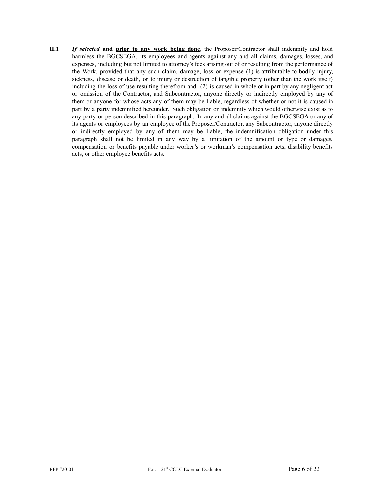**H.1** *If selected* **and prior to any work being done**, the Proposer/Contractor shall indemnify and hold harmless the BGCSEGA, its employees and agents against any and all claims, damages, losses, and expenses, including but not limited to attorney's fees arising out of or resulting from the performance of the Work, provided that any such claim, damage, loss or expense (1) is attributable to bodily injury, sickness, disease or death, or to injury or destruction of tangible property (other than the work itself) including the loss of use resulting therefrom and (2) is caused in whole or in part by any negligent act or omission of the Contractor, and Subcontractor, anyone directly or indirectly employed by any of them or anyone for whose acts any of them may be liable, regardless of whether or not it is caused in part by a party indemnified hereunder. Such obligation on indemnity which would otherwise exist as to any party or person described in this paragraph. In any and all claims against the BGCSEGA or any of its agents or employees by an employee of the Proposer/Contractor, any Subcontractor, anyone directly or indirectly employed by any of them may be liable, the indemnification obligation under this paragraph shall not be limited in any way by a limitation of the amount or type or damages, compensation or benefits payable under worker's or workman's compensation acts, disability benefits acts, or other employee benefits acts.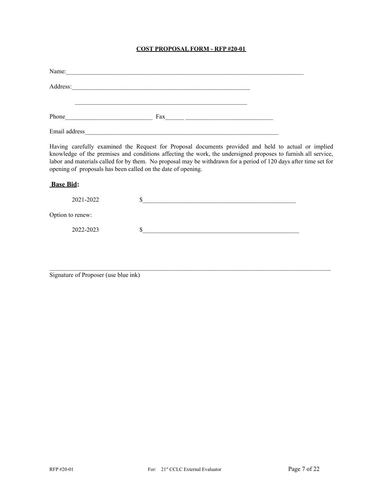# **COST PROPOSAL FORM - RFP #20-01**

|                  | Name:                                                                                                                                                                                                                          |                                                                                                                                                                                                                                                                                                                                          |  |
|------------------|--------------------------------------------------------------------------------------------------------------------------------------------------------------------------------------------------------------------------------|------------------------------------------------------------------------------------------------------------------------------------------------------------------------------------------------------------------------------------------------------------------------------------------------------------------------------------------|--|
|                  |                                                                                                                                                                                                                                | Address:                                                                                                                                                                                                                                                                                                                                 |  |
|                  | Phone expansion and the state of the state of the state of the state of the state of the state of the state of the state of the state of the state of the state of the state of the state of the state of the state of the sta |                                                                                                                                                                                                                                                                                                                                          |  |
|                  |                                                                                                                                                                                                                                | Email address and the contract of the contract of the contract of the contract of the contract of the contract of the contract of the contract of the contract of the contract of the contract of the contract of the contract                                                                                                           |  |
|                  | opening of proposals has been called on the date of opening.                                                                                                                                                                   | Having carefully examined the Request for Proposal documents provided and held to actual or implied<br>knowledge of the premises and conditions affecting the work, the undersigned proposes to furnish all service,<br>labor and materials called for by them. No proposal may be withdrawn for a period of 120 days after time set for |  |
| <b>Base Bid:</b> |                                                                                                                                                                                                                                |                                                                                                                                                                                                                                                                                                                                          |  |
|                  | 2021-2022                                                                                                                                                                                                                      |                                                                                                                                                                                                                                                                                                                                          |  |

Option to renew:

2022-2023 \$\_\_\_\_\_\_\_\_\_\_\_\_\_\_\_\_\_\_\_\_\_\_\_\_\_\_\_\_\_\_\_\_\_\_\_\_\_\_\_\_\_\_\_\_\_\_\_\_\_\_

Signature of Proposer (use blue ink)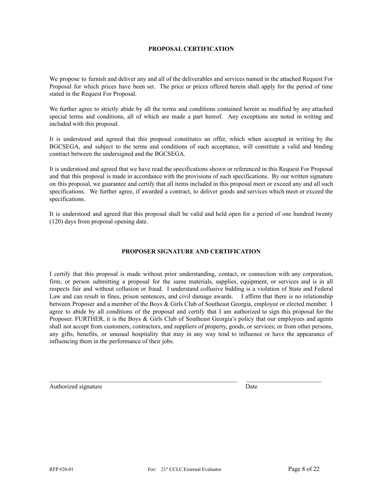#### **PROPOSAL CERTIFICATION**

We propose to furnish and deliver any and all of the deliverables and services named in the attached Request For Proposal for which prices have been set. The price or prices offered herein shall apply for the period of time stated in the Request For Proposal.

We further agree to strictly abide by all the terms and conditions contained herein as modified by any attached special terms and conditions, all of which are made a part hereof. Any exceptions are noted in writing and included with this proposal.

It is understood and agreed that this proposal constitutes an offer, which when accepted in writing by the BGCSEGA, and subject to the terms and conditions of such acceptance, will constitute a valid and binding contract between the undersigned and the BGCSEGA.

It is understood and agreed that we have read the specifications shown or referenced in this Request For Proposal and that this proposal is made in accordance with the provisions of such specifications. By our written signature on this proposal, we guarantee and certify that all items included in this proposal meet or exceed any and all such specifications. We further agree, if awarded a contract, to deliver goods and services which meet or exceed the specifications.

It is understood and agreed that this proposal shall be valid and held open for a period of one hundred twenty (120) days from proposal opening date.

#### **PROPOSER SIGNATURE AND CERTIFICATION**

I certify that this proposal is made without prior understanding, contact, or connection with any corporation, firm, or person submitting a proposal for the same materials, supplies, equipment, or services and is in all respects fair and without collusion or fraud. I understand collusive bidding is a violation of State and Federal Law and can result in fines, prison sentences, and civil damage awards. I affirm that there is no relationship between Proposer and a member of the Boys & Girls Club of Southeast Georgia, employee or elected member. I agree to abide by all conditions of the proposal and certify that I am authorized to sign this proposal for the Proposer. FURTHER, it is the Boys & Girls Club of Southeast Georgia's policy that our employees and agents shall not accept from customers, contractors, and suppliers of property, goods, or services; or from other persons, any gifts, benefits, or unusual hospitality that may in any way tend to influence or have the appearance of influencing them in the performance of their jobs.

Authorized signature Date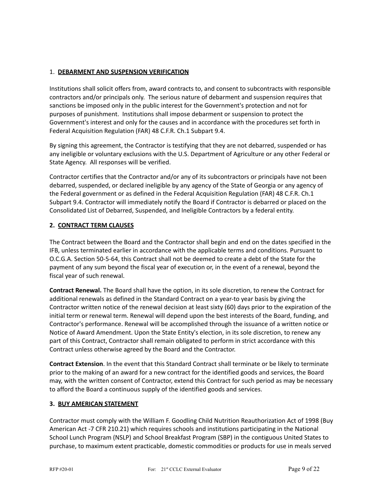## 1. **DEBARMENT AND SUSPENSION VERIFICATION**

Institutions shall solicit offers from, award contracts to, and consent to subcontracts with responsible contractors and/or principals only. The serious nature of debarment and suspension requires that sanctions be imposed only in the public interest for the Government's protection and not for purposes of punishment. Institutions shall impose debarment or suspension to protect the Government's interest and only for the causes and in accordance with the procedures set forth in Federal Acquisition Regulation (FAR) 48 C.F.R. Ch.1 Subpart 9.4.

By signing this agreement, the Contractor is testifying that they are not debarred, suspended or has any ineligible or voluntary exclusions with the U.S. Department of Agriculture or any other Federal or State Agency. All responses will be verified.

Contractor certifies that the Contractor and/or any of its subcontractors or principals have not been debarred, suspended, or declared ineligible by any agency of the State of Georgia or any agency of the Federal government or as defined in the Federal Acquisition Regulation (FAR) 48 C.F.R. Ch.1 Subpart 9.4. Contractor will immediately notify the Board if Contractor is debarred or placed on the Consolidated List of Debarred, Suspended, and Ineligible Contractors by a federal entity.

# **2. CONTRACT TERM CLAUSES**

The Contract between the Board and the Contractor shall begin and end on the dates specified in the IFB, unless terminated earlier in accordance with the applicable terms and conditions. Pursuant to O.C.G.A. Section 50-5-64, this Contract shall not be deemed to create a debt of the State for the payment of any sum beyond the fiscal year of execution or, in the event of a renewal, beyond the fiscal year of such renewal.

**Contract Renewal.** The Board shall have the option, in its sole discretion, to renew the Contract for additional renewals as defined in the Standard Contract on a year-to year basis by giving the Contractor written notice of the renewal decision at least sixty (60) days prior to the expiration of the initial term or renewal term. Renewal will depend upon the best interests of the Board, funding, and Contractor's performance. Renewal will be accomplished through the issuance of a written notice or Notice of Award Amendment. Upon the State Entity's election, in its sole discretion, to renew any part of this Contract, Contractor shall remain obligated to perform in strict accordance with this Contract unless otherwise agreed by the Board and the Contractor.

**Contract Extension**. In the event that this Standard Contract shall terminate or be likely to terminate prior to the making of an award for a new contract for the identified goods and services, the Board may, with the written consent of Contractor, extend this Contract for such period as may be necessary to afford the Board a continuous supply of the identified goods and services.

## **3. BUY AMERICAN STATEMENT**

Contractor must comply with the William F. Goodling Child Nutrition Reauthorization Act of 1998 (Buy American Act -7 CFR 210.21) which requires schools and institutions participating in the National School Lunch Program (NSLP) and School Breakfast Program (SBP) in the contiguous United States to purchase, to maximum extent practicable, domestic commodities or products for use in meals served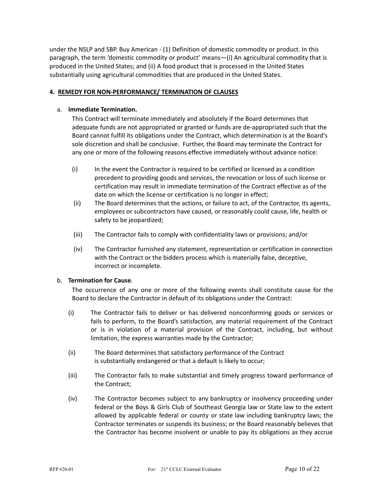under the NSLP and SBP. Buy American - (1) Definition of domestic commodity or product. In this paragraph, the term 'domestic commodity or product' means—(i) An agricultural commodity that is produced in the United States; and (ii) A food product that is processed in the United States substantially using agricultural commodities that are produced in the United States.

### **4. REMEDY FOR NON-PERFORMANCE/ TERMINATION OF CLAUSES**

### a. **Immediate Termination.**

This Contract will terminate immediately and absolutely if the Board determines that adequate funds are not appropriated or granted or funds are de-appropriated such that the Board cannot fulfill its obligations under the Contract, which determination is at the Board's sole discretion and shall be conclusive. Further, the Board may terminate the Contract for any one or more of the following reasons effective immediately without advance notice:

- (i) In the event the Contractor is required to be certified or licensed as a condition precedent to providing goods and services, the revocation or loss of such license or certification may result in immediate termination of the Contract effective as of the date on which the license or certification is no longer in effect;
- (ii) The Board determines that the actions, or failure to act, of the Contractor, its agents, employees or subcontractors have caused, or reasonably could cause, life, health or safety to be jeopardized;
- (iii) The Contractor fails to comply with confidentiality laws or provisions; and/or
- (iv) The Contractor furnished any statement, representation or certification in connection with the Contract or the bidders process which is materially false, deceptive, incorrect or incomplete.

#### b. **Termination for Cause**.

The occurrence of any one or more of the following events shall constitute cause for the Board to declare the Contractor in default of its obligations under the Contract:

- (i) The Contractor fails to deliver or has delivered nonconforming goods or services or fails to perform, to the Board's satisfaction, any material requirement of the Contract or is in violation of a material provision of the Contract, including, but without limitation, the express warranties made by the Contractor;
- (ii) The Board determines that satisfactory performance of the Contract is substantially endangered or that a default is likely to occur;
- (iii) The Contractor fails to make substantial and timely progress toward performance of the Contract;
- (iv) The Contractor becomes subject to any bankruptcy or insolvency proceeding under federal or the Boys & Girls Club of Southeast Georgia law or State law to the extent allowed by applicable federal or county or state law including bankruptcy laws; the Contractor terminates or suspends its business; or the Board reasonably believes that the Contractor has become insolvent or unable to pay its obligations as they accrue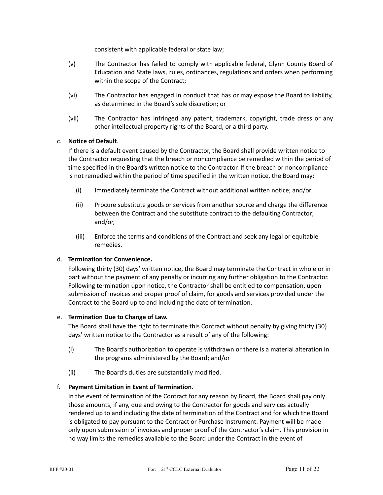consistent with applicable federal or state law;

- (v) The Contractor has failed to comply with applicable federal, Glynn County Board of Education and State laws, rules, ordinances, regulations and orders when performing within the scope of the Contract;
- (vi) The Contractor has engaged in conduct that has or may expose the Board to liability, as determined in the Board's sole discretion; or
- (vii) The Contractor has infringed any patent, trademark, copyright, trade dress or any other intellectual property rights of the Board, or a third party.

## c. **Notice of Default**.

If there is a default event caused by the Contractor, the Board shall provide written notice to the Contractor requesting that the breach or noncompliance be remedied within the period of time specified in the Board's written notice to the Contractor. If the breach or noncompliance is not remedied within the period of time specified in the written notice, the Board may:

- (i) Immediately terminate the Contract without additional written notice; and/or
- (ii) Procure substitute goods or services from another source and charge the difference between the Contract and the substitute contract to the defaulting Contractor; and/or,
- (iii) Enforce the terms and conditions of the Contract and seek any legal or equitable remedies.

# d. **Termination for Convenience.**

Following thirty (30) days' written notice, the Board may terminate the Contract in whole or in part without the payment of any penalty or incurring any further obligation to the Contractor. Following termination upon notice, the Contractor shall be entitled to compensation, upon submission of invoices and proper proof of claim, for goods and services provided under the Contract to the Board up to and including the date of termination.

### e. **Termination Due to Change of Law.**

The Board shall have the right to terminate this Contract without penalty by giving thirty (30) days' written notice to the Contractor as a result of any of the following:

- (i) The Board's authorization to operate is withdrawn or there is a material alteration in the programs administered by the Board; and/or
- (ii) The Board's duties are substantially modified.

## f. **Payment Limitation in Event of Termination.**

In the event of termination of the Contract for any reason by Board, the Board shall pay only those amounts, if any, due and owing to the Contractor for goods and services actually rendered up to and including the date of termination of the Contract and for which the Board is obligated to pay pursuant to the Contract or Purchase Instrument. Payment will be made only upon submission of invoices and proper proof of the Contractor's claim. This provision in no way limits the remedies available to the Board under the Contract in the event of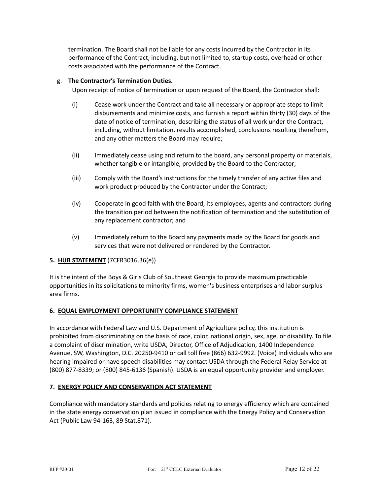termination. The Board shall not be liable for any costs incurred by the Contractor in its performance of the Contract, including, but not limited to, startup costs, overhead or other costs associated with the performance of the Contract.

### g. **The Contractor's Termination Duties.**

Upon receipt of notice of termination or upon request of the Board, the Contractor shall:

- (i) Cease work under the Contract and take all necessary or appropriate steps to limit disbursements and minimize costs, and furnish a report within thirty (30) days of the date of notice of termination, describing the status of all work under the Contract, including, without limitation, results accomplished, conclusions resulting therefrom, and any other matters the Board may require;
- (ii) Immediately cease using and return to the board, any personal property or materials, whether tangible or intangible, provided by the Board to the Contractor;
- (iii) Comply with the Board's instructions for the timely transfer of any active files and work product produced by the Contractor under the Contract;
- (iv) Cooperate in good faith with the Board, its employees, agents and contractors during the transition period between the notification of termination and the substitution of any replacement contractor; and
- (v) Immediately return to the Board any payments made by the Board for goods and services that were not delivered or rendered by the Contractor.

## **5. HUB STATEMENT** (7CFR3016.36(e))

It is the intent of the Boys & Girls Club of Southeast Georgia to provide maximum practicable opportunities in its solicitations to minority firms, women's business enterprises and labor surplus area firms.

#### **6. EQUAL EMPLOYMENT OPPORTUNITY COMPLIANCE STATEMENT**

In accordance with Federal Law and U.S. Department of Agriculture policy, this institution is prohibited from discriminating on the basis of race, color, national origin, sex, age, or disability. To file a complaint of discrimination, write USDA, Director, Office of Adjudication, 1400 Independence Avenue, SW, Washington, D.C. 20250-9410 or call toll free (866) 632-9992. (Voice) Individuals who are hearing impaired or have speech disabilities may contact USDA through the Federal Relay Service at (800) 877-8339; or (800) 845-6136 (Spanish). USDA is an equal opportunity provider and employer.

## **7. ENERGY POLICY AND CONSERVATION ACT STATEMENT**

Compliance with mandatory standards and policies relating to energy efficiency which are contained in the state energy conservation plan issued in compliance with the Energy Policy and Conservation Act (Public Law 94-163, 89 Stat.871).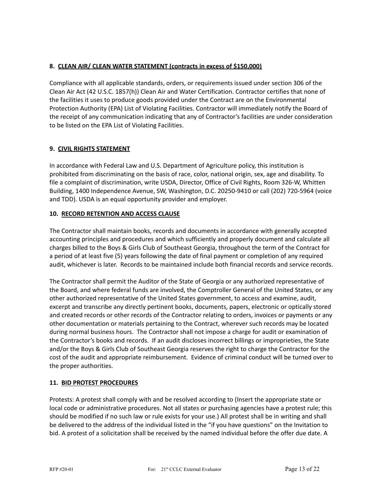# **8. CLEAN AIR/ CLEAN WATER STATEMENT (contracts in excess of \$150,000)**

Compliance with all applicable standards, orders, or requirements issued under section 306 of the Clean Air Act (42 U.S.C. 1857(h)) Clean Air and Water Certification. Contractor certifies that none of the facilities it uses to produce goods provided under the Contract are on the Environmental Protection Authority (EPA) List of Violating Facilities. Contractor will immediately notify the Board of the receipt of any communication indicating that any of Contractor's facilities are under consideration to be listed on the EPA List of Violating Facilities.

# **9. CIVIL RIGHTS STATEMENT**

In accordance with Federal Law and U.S. Department of Agriculture policy, this institution is prohibited from discriminating on the basis of race, color, national origin, sex, age and disability. To file a complaint of discrimination, write USDA, Director, Office of Civil Rights, Room 326-W, Whitten Building, 1400 Independence Avenue, SW, Washington, D.C. 20250-9410 or call (202) 720-5964 (voice and TDD). USDA is an equal opportunity provider and employer.

## **10. RECORD RETENTION AND ACCESS CLAUSE**

The Contractor shall maintain books, records and documents in accordance with generally accepted accounting principles and procedures and which sufficiently and properly document and calculate all charges billed to the Boys & Girls Club of Southeast Georgia, throughout the term of the Contract for a period of at least five (5) years following the date of final payment or completion of any required audit, whichever is later. Records to be maintained include both financial records and service records.

The Contractor shall permit the Auditor of the State of Georgia or any authorized representative of the Board, and where federal funds are involved, the Comptroller General of the United States, or any other authorized representative of the United States government, to access and examine, audit, excerpt and transcribe any directly pertinent books, documents, papers, electronic or optically stored and created records or other records of the Contractor relating to orders, invoices or payments or any other documentation or materials pertaining to the Contract, wherever such records may be located during normal business hours. The Contractor shall not impose a charge for audit or examination of the Contractor's books and records. If an audit discloses incorrect billings or improprieties, the State and/or the Boys & Girls Club of Southeast Georgia reserves the right to charge the Contractor for the cost of the audit and appropriate reimbursement. Evidence of criminal conduct will be turned over to the proper authorities.

## **11. BID PROTEST PROCEDURES**

Protests: A protest shall comply with and be resolved according to (Insert the appropriate state or local code or administrative procedures. Not all states or purchasing agencies have a protest rule; this should be modified if no such law or rule exists for your use.) All protest shall be in writing and shall be delivered to the address of the individual listed in the "if you have questions" on the Invitation to bid. A protest of a solicitation shall be received by the named individual before the offer due date. A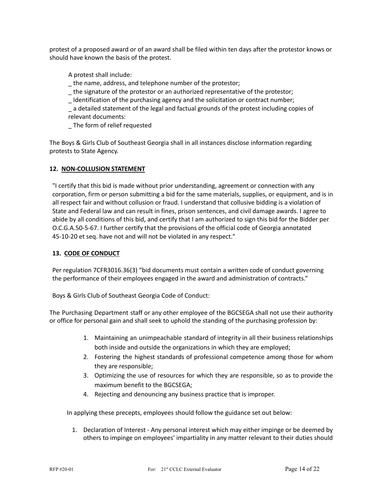protest of a proposed award or of an award shall be filed within ten days after the protestor knows or should have known the basis of the protest.

A protest shall include:

- \_ the name, address, and telephone number of the protestor;
- \_ the signature of the protestor or an authorized representative of the protestor;
- \_ Identification of the purchasing agency and the solicitation or contract number;

\_ a detailed statement of the legal and factual grounds of the protest including copies of relevant documents:

\_ The form of relief requested

The Boys & Girls Club of Southeast Georgia shall in all instances disclose information regarding protests to State Agency.

#### **12. NON-COLLUSION STATEMENT**

"I certify that this bid is made without prior understanding, agreement or connection with any corporation, firm or person submitting a bid for the same materials, supplies, or equipment, and is in all respect fair and without collusion or fraud. I understand that collusive bidding is a violation of State and Federal law and can result in fines, prison sentences, and civil damage awards. I agree to abide by all conditions of this bid, and certify that I am authorized to sign this bid for the Bidder per O.C.G.A.50-5-67. I further certify that the provisions of the official code of Georgia annotated 45-10-20 et seq. have not and will not be violated in any respect."

#### **13. CODE OF CONDUCT**

Per regulation 7CFR3016.36(3) "bid documents must contain a written code of conduct governing the performance of their employees engaged in the award and administration of contracts."

Boys & Girls Club of Southeast Georgia Code of Conduct:

The Purchasing Department staff or any other employee of the BGCSEGA shall not use their authority or office for personal gain and shall seek to uphold the standing of the purchasing profession by:

- 1. Maintaining an unimpeachable standard of integrity in all their business relationships both inside and outside the organizations in which they are employed;
- 2. Fostering the highest standards of professional competence among those for whom they are responsible;
- 3. Optimizing the use of resources for which they are responsible, so as to provide the maximum benefit to the BGCSEGA;
- 4. Rejecting and denouncing any business practice that is improper.

In applying these precepts, employees should follow the guidance set out below:

1. Declaration of Interest - Any personal interest which may either impinge or be deemed by others to impinge on employees' impartiality in any matter relevant to their duties should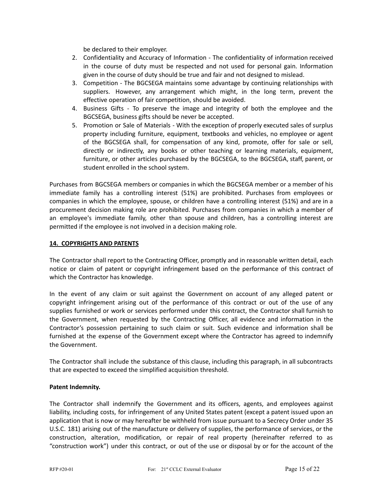be declared to their employer.

- 2. Confidentiality and Accuracy of Information The confidentiality of information received in the course of duty must be respected and not used for personal gain. Information given in the course of duty should be true and fair and not designed to mislead.
- 3. Competition The BGCSEGA maintains some advantage by continuing relationships with suppliers. However, any arrangement which might, in the long term, prevent the effective operation of fair competition, should be avoided.
- 4. Business Gifts To preserve the image and integrity of both the employee and the BGCSEGA, business gifts should be never be accepted.
- 5. Promotion or Sale of Materials With the exception of properly executed sales of surplus property including furniture, equipment, textbooks and vehicles, no employee or agent of the BGCSEGA shall, for compensation of any kind, promote, offer for sale or sell, directly or indirectly, any books or other teaching or learning materials, equipment, furniture, or other articles purchased by the BGCSEGA, to the BGCSEGA, staff, parent, or student enrolled in the school system.

Purchases from BGCSEGA members or companies in which the BGCSEGA member or a member of his immediate family has a controlling interest (51%) are prohibited. Purchases from employees or companies in which the employee, spouse, or children have a controlling interest (51%) and are in a procurement decision making role are prohibited. Purchases from companies in which a member of an employee's immediate family, other than spouse and children, has a controlling interest are permitted if the employee is not involved in a decision making role.

### **14. COPYRIGHTS AND PATENTS**

The Contractor shall report to the Contracting Officer, promptly and in reasonable written detail, each notice or claim of patent or copyright infringement based on the performance of this contract of which the Contractor has knowledge.

In the event of any claim or suit against the Government on account of any alleged patent or copyright infringement arising out of the performance of this contract or out of the use of any supplies furnished or work or services performed under this contract, the Contractor shall furnish to the Government, when requested by the Contracting Officer, all evidence and information in the Contractor's possession pertaining to such claim or suit. Such evidence and information shall be furnished at the expense of the Government except where the Contractor has agreed to indemnify the Government.

The Contractor shall include the substance of this clause, including this paragraph, in all subcontracts that are expected to exceed the simplified acquisition threshold.

#### **Patent Indemnity.**

The Contractor shall indemnify the Government and its officers, agents, and employees against liability, including costs, for infringement of any United States patent (except a patent issued upon an application that is now or may hereafter be withheld from issue pursuant to a Secrecy Order under 35 U.S.C. 181) arising out of the manufacture or delivery of supplies, the performance of services, or the construction, alteration, modification, or repair of real property (hereinafter referred to as "construction work") under this contract, or out of the use or disposal by or for the account of the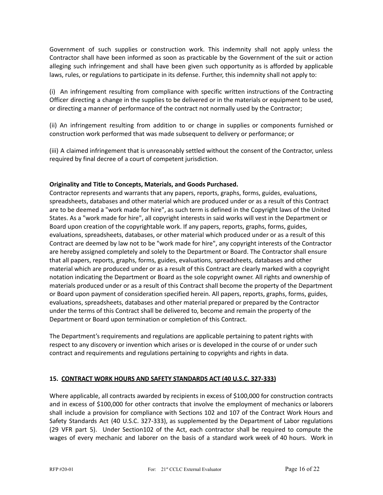Government of such supplies or construction work. This indemnity shall not apply unless the Contractor shall have been informed as soon as practicable by the Government of the suit or action alleging such infringement and shall have been given such opportunity as is afforded by applicable laws, rules, or regulations to participate in its defense. Further, this indemnity shall not apply to:

(i) An infringement resulting from compliance with specific written instructions of the Contracting Officer directing a change in the supplies to be delivered or in the materials or equipment to be used, or directing a manner of performance of the contract not normally used by the Contractor;

(ii) An infringement resulting from addition to or change in supplies or components furnished or construction work performed that was made subsequent to delivery or performance; or

(iii) A claimed infringement that is unreasonably settled without the consent of the Contractor, unless required by final decree of a court of competent jurisdiction.

### **Originality and Title to Concepts, Materials, and Goods Purchased.**

Contractor represents and warrants that any papers, reports, graphs, forms, guides, evaluations, spreadsheets, databases and other material which are produced under or as a result of this Contract are to be deemed a "work made for hire", as such term is defined in the Copyright laws of the United States. As a "work made for hire", all copyright interests in said works will vest in the Department or Board upon creation of the copyrightable work. If any papers, reports, graphs, forms, guides, evaluations, spreadsheets, databases, or other material which produced under or as a result of this Contract are deemed by law not to be "work made for hire", any copyright interests of the Contractor are hereby assigned completely and solely to the Department or Board. The Contractor shall ensure that all papers, reports, graphs, forms, guides, evaluations, spreadsheets, databases and other material which are produced under or as a result of this Contract are clearly marked with a copyright notation indicating the Department or Board as the sole copyright owner. All rights and ownership of materials produced under or as a result of this Contract shall become the property of the Department or Board upon payment of consideration specified herein. All papers, reports, graphs, forms, guides, evaluations, spreadsheets, databases and other material prepared or prepared by the Contractor under the terms of this Contract shall be delivered to, become and remain the property of the Department or Board upon termination or completion of this Contract.

The Department's requirements and regulations are applicable pertaining to patent rights with respect to any discovery or invention which arises or is developed in the course of or under such contract and requirements and regulations pertaining to copyrights and rights in data.

#### **15. CONTRACT WORK HOURS AND SAFETY STANDARDS ACT (40 U.S.C. 327-333)**

Where applicable, all contracts awarded by recipients in excess of \$100,000 for construction contracts and in excess of \$100,000 for other contracts that involve the employment of mechanics or laborers shall include a provision for compliance with Sections 102 and 107 of the Contract Work Hours and Safety Standards Act (40 U.S.C. 327-333), as supplemented by the Department of Labor regulations (29 VFR part 5). Under Section102 of the Act, each contractor shall be required to compute the wages of every mechanic and laborer on the basis of a standard work week of 40 hours. Work in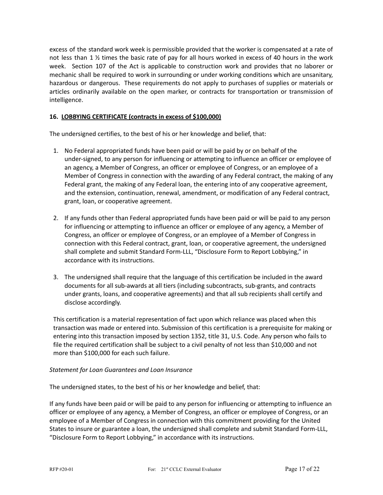excess of the standard work week is permissible provided that the worker is compensated at a rate of not less than 1 ½ times the basic rate of pay for all hours worked in excess of 40 hours in the work week. Section 107 of the Act is applicable to construction work and provides that no laborer or mechanic shall be required to work in surrounding or under working conditions which are unsanitary, hazardous or dangerous. These requirements do not apply to purchases of supplies or materials or articles ordinarily available on the open marker, or contracts for transportation or transmission of intelligence.

# **16. LOBBYING CERTIFICATE (contracts in excess of \$100,000)**

The undersigned certifies, to the best of his or her knowledge and belief, that:

- 1. No Federal appropriated funds have been paid or will be paid by or on behalf of the under-signed, to any person for influencing or attempting to influence an officer or employee of an agency, a Member of Congress, an officer or employee of Congress, or an employee of a Member of Congress in connection with the awarding of any Federal contract, the making of any Federal grant, the making of any Federal loan, the entering into of any cooperative agreement, and the extension, continuation, renewal, amendment, or modification of any Federal contract, grant, loan, or cooperative agreement.
- 2. If any funds other than Federal appropriated funds have been paid or will be paid to any person for influencing or attempting to influence an officer or employee of any agency, a Member of Congress, an officer or employee of Congress, or an employee of a Member of Congress in connection with this Federal contract, grant, loan, or cooperative agreement, the undersigned shall complete and submit Standard Form-LLL, "Disclosure Form to Report Lobbying," in accordance with its instructions.
- 3. The undersigned shall require that the language of this certification be included in the award documents for all sub-awards at all tiers (including subcontracts, sub-grants, and contracts under grants, loans, and cooperative agreements) and that all sub recipients shall certify and disclose accordingly.

This certification is a material representation of fact upon which reliance was placed when this transaction was made or entered into. Submission of this certification is a prerequisite for making or entering into this transaction imposed by section 1352, title 31, U.S. Code. Any person who fails to file the required certification shall be subject to a civil penalty of not less than \$10,000 and not more than \$100,000 for each such failure.

## *Statement for Loan Guarantees and Loan Insurance*

The undersigned states, to the best of his or her knowledge and belief, that:

If any funds have been paid or will be paid to any person for influencing or attempting to influence an officer or employee of any agency, a Member of Congress, an officer or employee of Congress, or an employee of a Member of Congress in connection with this commitment providing for the United States to insure or guarantee a loan, the undersigned shall complete and submit Standard Form-LLL, "Disclosure Form to Report Lobbying," in accordance with its instructions.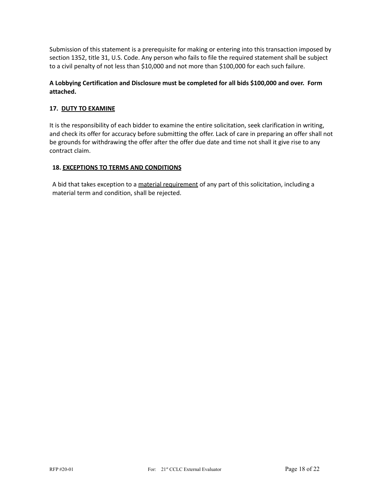Submission of this statement is a prerequisite for making or entering into this transaction imposed by section 1352, title 31, U.S. Code. Any person who fails to file the required statement shall be subject to a civil penalty of not less than \$10,000 and not more than \$100,000 for each such failure.

# **A Lobbying Certification and Disclosure must be completed for all bids \$100,000 and over. Form attached.**

# **17. DUTY TO EXAMINE**

It is the responsibility of each bidder to examine the entire solicitation, seek clarification in writing, and check its offer for accuracy before submitting the offer. Lack of care in preparing an offer shall not be grounds for withdrawing the offer after the offer due date and time not shall it give rise to any contract claim.

## **18. EXCEPTIONS TO TERMS AND CONDITIONS**

A bid that takes exception to a material requirement of any part of this solicitation, including a material term and condition, shall be rejected.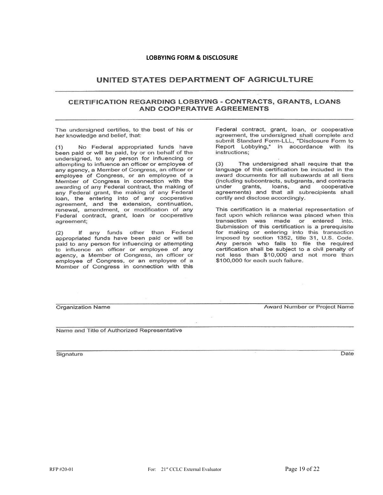#### **LOBBYING FORM & DISCLOSURE**

# UNITED STATES DEPARTMENT OF AGRICULTURE

#### **CERTIFICATION REGARDING LOBBYING - CONTRACTS, GRANTS, LOANS AND COOPERATIVE AGREEMENTS**

The undersigned certifies, to the best of his or her knowledge and belief, that:

 $(1)$ No Federal appropriated funds have been paid or will be paid, by or on behalf of the undersigned, to any person for influencing or attempting to influence an officer or employee of any agency, a Member of Congress, an officer or employee of Congress, or an employee of a<br>Member of Congress in connection with the awarding of any Federal contract, the making of any Federal grant, the making of any Federal loan, the entering into of any cooperative<br>agreement, and the extension, continuation, renewal, amendment, or modification of any Federal contract, grant, loan or cooperative agreement:

 $(2)$ If any funds other than Federal appropriated funds have been paid or will be paid to any person for influencing or attempting to influence an officer or employee of any agency, a Member of Congress, an officer or employee of Congress, or an employee of a Member of Congress in connection with this

Federal contract, grant, loan, or cooperative agreement, the undersigned shall complete and submit Standard Form-LLL, "Disclosure Form to Report Lobbying," in accordance with its instructions;

 $(3)$ The undersigned shall require that the language of this certification be included in the award documents for all subawards at all tiers (including subcontracts, subgrants, and contracts under grants, loans, and cooperative agreements) and that all subrecipients shall certify and disclose accordingly.

This certification is a material representation of fact upon which reliance was placed when this transaction was made or entered into. Submission of this certification is a prerequisite For making or entering into this transaction<br>imposed by section 1352, title 31, U.S. Code.<br>Any person who fails to file the required certification shall be subject to a civil penalty of not less than \$10,000 and not more than \$100,000 for each such failure.

**Organization Name** 

Award Number or Project Name

Name and Title of Authorized Representative

Signature

Date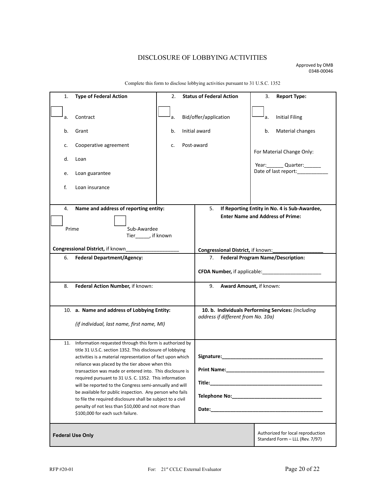# DISCLOSURE OF LOBBYING ACTIVITIES

Approved by OMB 0348-00046

| 1.                                           | <b>Type of Federal Action</b>                                                                                                                                                                                                                                                                                                                                                                                                                                                                                                                                                                                                                 | 2.                          |                                                                                                                                                                                                                                                             | <b>Status of Federal Action</b>                                      | 3.                                                                                                                                                                                                                                                                                                                                                                                                              | <b>Report Type:</b> |  |  |
|----------------------------------------------|-----------------------------------------------------------------------------------------------------------------------------------------------------------------------------------------------------------------------------------------------------------------------------------------------------------------------------------------------------------------------------------------------------------------------------------------------------------------------------------------------------------------------------------------------------------------------------------------------------------------------------------------------|-----------------------------|-------------------------------------------------------------------------------------------------------------------------------------------------------------------------------------------------------------------------------------------------------------|----------------------------------------------------------------------|-----------------------------------------------------------------------------------------------------------------------------------------------------------------------------------------------------------------------------------------------------------------------------------------------------------------------------------------------------------------------------------------------------------------|---------------------|--|--|
| a.                                           | Contract                                                                                                                                                                                                                                                                                                                                                                                                                                                                                                                                                                                                                                      | Bid/offer/application<br>a. |                                                                                                                                                                                                                                                             | a.                                                                   | <b>Initial Filing</b>                                                                                                                                                                                                                                                                                                                                                                                           |                     |  |  |
| b.                                           | Grant                                                                                                                                                                                                                                                                                                                                                                                                                                                                                                                                                                                                                                         | Initial award<br>b.         |                                                                                                                                                                                                                                                             |                                                                      | b.                                                                                                                                                                                                                                                                                                                                                                                                              | Material changes    |  |  |
| c.                                           | Cooperative agreement                                                                                                                                                                                                                                                                                                                                                                                                                                                                                                                                                                                                                         | Post-award<br>c.            |                                                                                                                                                                                                                                                             |                                                                      |                                                                                                                                                                                                                                                                                                                                                                                                                 |                     |  |  |
| d.                                           | Loan                                                                                                                                                                                                                                                                                                                                                                                                                                                                                                                                                                                                                                          |                             |                                                                                                                                                                                                                                                             |                                                                      |                                                                                                                                                                                                                                                                                                                                                                                                                 |                     |  |  |
| e.                                           | Loan guarantee                                                                                                                                                                                                                                                                                                                                                                                                                                                                                                                                                                                                                                |                             |                                                                                                                                                                                                                                                             |                                                                      |                                                                                                                                                                                                                                                                                                                                                                                                                 |                     |  |  |
| f.                                           | Loan insurance                                                                                                                                                                                                                                                                                                                                                                                                                                                                                                                                                                                                                                |                             |                                                                                                                                                                                                                                                             |                                                                      |                                                                                                                                                                                                                                                                                                                                                                                                                 |                     |  |  |
|                                              |                                                                                                                                                                                                                                                                                                                                                                                                                                                                                                                                                                                                                                               |                             |                                                                                                                                                                                                                                                             | 5.                                                                   |                                                                                                                                                                                                                                                                                                                                                                                                                 |                     |  |  |
| 4.                                           | Name and address of reporting entity:                                                                                                                                                                                                                                                                                                                                                                                                                                                                                                                                                                                                         |                             |                                                                                                                                                                                                                                                             |                                                                      | For Material Change Only:<br>Year: Quarter:<br>Date of last report:___________<br>If Reporting Entity in No. 4 is Sub-Awardee,<br><b>Enter Name and Address of Prime:</b><br><b>Federal Program Name/Description:</b><br>CFDA Number, if applicable: <b>CFDA Number</b> , if applicable:<br>Award Amount, if known:<br>10. b. Individuals Performing Services: (including<br>address if different from No. 10a) |                     |  |  |
|                                              |                                                                                                                                                                                                                                                                                                                                                                                                                                                                                                                                                                                                                                               |                             |                                                                                                                                                                                                                                                             |                                                                      |                                                                                                                                                                                                                                                                                                                                                                                                                 |                     |  |  |
| Sub-Awardee<br>Prime<br>Tier______, if known |                                                                                                                                                                                                                                                                                                                                                                                                                                                                                                                                                                                                                                               |                             |                                                                                                                                                                                                                                                             |                                                                      |                                                                                                                                                                                                                                                                                                                                                                                                                 |                     |  |  |
| Congressional District, if known_            |                                                                                                                                                                                                                                                                                                                                                                                                                                                                                                                                                                                                                                               |                             |                                                                                                                                                                                                                                                             | Congressional District, if known:                                    |                                                                                                                                                                                                                                                                                                                                                                                                                 |                     |  |  |
| 6.                                           | <b>Federal Department/Agency:</b>                                                                                                                                                                                                                                                                                                                                                                                                                                                                                                                                                                                                             |                             |                                                                                                                                                                                                                                                             | 7.                                                                   |                                                                                                                                                                                                                                                                                                                                                                                                                 |                     |  |  |
|                                              |                                                                                                                                                                                                                                                                                                                                                                                                                                                                                                                                                                                                                                               |                             |                                                                                                                                                                                                                                                             |                                                                      |                                                                                                                                                                                                                                                                                                                                                                                                                 |                     |  |  |
| 8.                                           | Federal Action Number, if known:                                                                                                                                                                                                                                                                                                                                                                                                                                                                                                                                                                                                              |                             |                                                                                                                                                                                                                                                             | 9.                                                                   |                                                                                                                                                                                                                                                                                                                                                                                                                 |                     |  |  |
|                                              | 10. a. Name and address of Lobbying Entity:                                                                                                                                                                                                                                                                                                                                                                                                                                                                                                                                                                                                   |                             |                                                                                                                                                                                                                                                             |                                                                      |                                                                                                                                                                                                                                                                                                                                                                                                                 |                     |  |  |
|                                              |                                                                                                                                                                                                                                                                                                                                                                                                                                                                                                                                                                                                                                               |                             |                                                                                                                                                                                                                                                             |                                                                      |                                                                                                                                                                                                                                                                                                                                                                                                                 |                     |  |  |
|                                              | (if individual, last name, first name, MI)                                                                                                                                                                                                                                                                                                                                                                                                                                                                                                                                                                                                    |                             |                                                                                                                                                                                                                                                             |                                                                      |                                                                                                                                                                                                                                                                                                                                                                                                                 |                     |  |  |
| 11.                                          | Information requested through this form is authorized by<br>title 31 U.S.C. section 1352. This disclosure of lobbying<br>activities is a material representation of fact upon which<br>reliance was placed by the tier above when this<br>transaction was made or entered into. This disclosure is<br>required pursuant to 31 U.S. C. 1352. This information<br>will be reported to the Congress semi-annually and will<br>be available for public inspection. Any person who fails<br>to file the required disclosure shall be subject to a civil<br>penalty of not less than \$10,000 and not more than<br>\$100,000 for each such failure. |                             | Signature:<br>Print Name:<br>Date: the contract of the contract of the contract of the contract of the contract of the contract of the contract of the contract of the contract of the contract of the contract of the contract of the contract of the cont |                                                                      |                                                                                                                                                                                                                                                                                                                                                                                                                 |                     |  |  |
| <b>Federal Use Only</b>                      |                                                                                                                                                                                                                                                                                                                                                                                                                                                                                                                                                                                                                                               |                             |                                                                                                                                                                                                                                                             | Authorized for local reproduction<br>Standard Form - LLL (Rev. 7/97) |                                                                                                                                                                                                                                                                                                                                                                                                                 |                     |  |  |

Complete this form to disclose lobbying activities pursuant to 31 U.S.C. 1352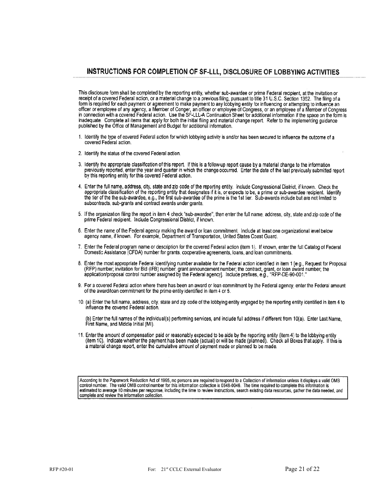## INSTRUCTIONS FOR COMPLETION OF SF-LLL, DISCLOSURE OF LOBBYING ACTIVITIES

This disclosure form shall be completed by the reporting entity, whether sub-awardee or prime Federal recipient, at the invitation or receipt of a covered Federal action, or a material change to a previous filing, pursuant Form is required for each payment or agreement to make payment to any lobbying entity for influencing or attempting to influence an<br>officer or employee of any agency, a Member of Conger, an officer or employee of Congress, published by the Office of Management and Budget for additional information.

- 1. Identify the type of covered Federal action for which lobbying activity is and/or has been secured to influence the outcome of a covered Federal action.
- 2. Identify the status of the covered Federal action.
- 3. Identify the appropriate classification of this report. If this is a follow-up report cause by a material change to the information previously reported, enter the year and quarter in which the change occurred. Enter the date of the last previously submitted report<br>by this reporting entity for this covered Federal action.
- 4. Enter the full name, address, city, state and zip code of the reporting entity. Include Congressional District, if known. Check the appropriate classification of the reporting entity that designates if it is, or expects to be, a prime or sub-awardee recipient. Identify the tier of the the sub-awardee, e.g., the first sub-awardee of the prime is the 1st tier. Sub-awards include but are not limited to subcontracts, sub-grants and contract awards under grants.
- 5. If the organization filing the report in item 4 check "sub-awardee", then enter the full name, address, city, state and zip code of the prime Federal recipient. Include Congressional District, if known.
- 6. Enter the name of the Federal agency making the award or loan commitment. Include at least one organizational level below agency name, if known. For example, Department of Transportation, United States Coast Guard.
- 7. Enter the Federal program name or description for the covered Federal action (item 1). If known, enter the full Catalog of Federal Domestic Assistance (CFDA) number for grants, cooperative agreements, loans, and loan commitments.
- 8. Enter the most appropriate Federal identifying number available for the Federal action identified in item 1 [e.g., Request for Proposal (RFP) number; invitation for Bid (IFB) number, grant announcement number; the contract, grant, or loan award number; the application/proposal control number assigned by the Federal agency]. Include prefixes, e.g., "RFP-DE-
- 9. For a covered Federal action where there has been an award or loan commitment by the Federal agency, enter the Federal amount of the award/loan commitment for the prime entity identified in item 4 or 5.
- 10. (a) Enter the full name, address, city, state and zip code of the lobbying entity engaged by the reporting entity identified in item 4 to influence the covered Federal action.

(b) Enter the full names of the individual(s) performing services, and include full address if different from 10(a). Enter Last Name, First Name, and Middle Initial (MI).

11. Enter the amount of compensation paid or reasonably expected to be aide by the reporting entity (item 4) to the lobbying entity (item 10). Indicate whether the payment has been made (actual) or will be made (planned). Check all Boxes that apply. If this is a material change report, enter the cumulative amount of payment made or planned to be made.

According to the Paperwork Reduction Act of 1995, no persons are required to respond to a Collection of information unless it displays a valid OMB control number. The valid OMB control number for this information collection is 0348-0046. The time required to complete this information is estimated to average 10 minutes per response, including the time to review instructions, search existing data resources, gather the data needed, and complete and review the information collection.